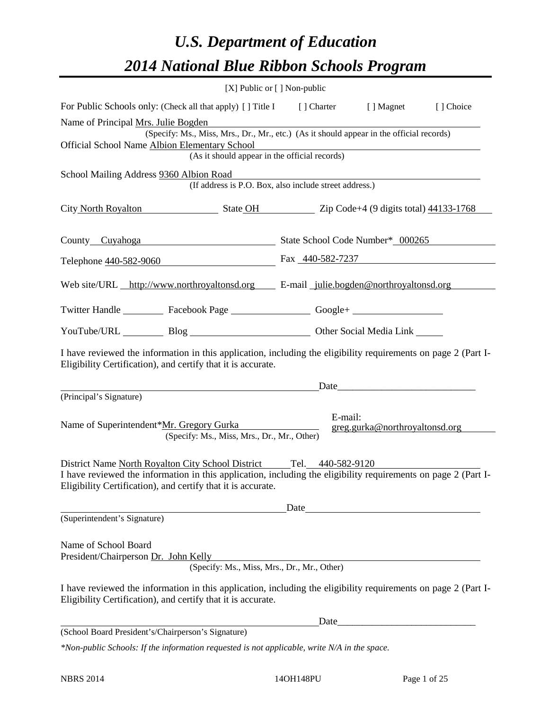# *U.S. Department of Education 2014 National Blue Ribbon Schools Program*

|                                                                                                                                                                                                                                                       |                                               | [X] Public or [] Non-public                            |                                |           |  |  |  |  |  |
|-------------------------------------------------------------------------------------------------------------------------------------------------------------------------------------------------------------------------------------------------------|-----------------------------------------------|--------------------------------------------------------|--------------------------------|-----------|--|--|--|--|--|
| For Public Schools only: (Check all that apply) [] Title I [] Charter                                                                                                                                                                                 |                                               |                                                        | [ ] Magnet                     | [] Choice |  |  |  |  |  |
| Name of Principal Mrs. Julie Bogden<br>(Specify: Ms., Miss, Mrs., Dr., Mr., etc.) (As it should appear in the official records)                                                                                                                       |                                               |                                                        |                                |           |  |  |  |  |  |
|                                                                                                                                                                                                                                                       |                                               |                                                        |                                |           |  |  |  |  |  |
| Official School Name Albion Elementary School                                                                                                                                                                                                         | (As it should appear in the official records) |                                                        |                                |           |  |  |  |  |  |
| School Mailing Address 9360 Albion Road                                                                                                                                                                                                               |                                               |                                                        |                                |           |  |  |  |  |  |
|                                                                                                                                                                                                                                                       |                                               | (If address is P.O. Box, also include street address.) |                                |           |  |  |  |  |  |
| City North Royalton State OH Zip Code+4 (9 digits total) 44133-1768                                                                                                                                                                                   |                                               |                                                        |                                |           |  |  |  |  |  |
| County_Cuyahoga                                                                                                                                                                                                                                       |                                               | State School Code Number* 000265                       |                                |           |  |  |  |  |  |
| Telephone 440-582-9060                                                                                                                                                                                                                                |                                               | Fax 440-582-7237                                       |                                |           |  |  |  |  |  |
| Web site/URL http://www.northroyaltonsd.org E-mail julie.bogden@northroyaltonsd.org                                                                                                                                                                   |                                               |                                                        |                                |           |  |  |  |  |  |
| Twitter Handle ___________ Facebook Page ___________________ Google+ ____________                                                                                                                                                                     |                                               |                                                        |                                |           |  |  |  |  |  |
|                                                                                                                                                                                                                                                       |                                               | YouTube/URL Blog Blog Discount Cher Social Media Link  |                                |           |  |  |  |  |  |
| I have reviewed the information in this application, including the eligibility requirements on page 2 (Part I-<br>Eligibility Certification), and certify that it is accurate.                                                                        |                                               |                                                        |                                |           |  |  |  |  |  |
|                                                                                                                                                                                                                                                       |                                               | Date                                                   |                                |           |  |  |  |  |  |
| (Principal's Signature)                                                                                                                                                                                                                               |                                               |                                                        |                                |           |  |  |  |  |  |
| Name of Superintendent*Mr. Gregory Gurka                                                                                                                                                                                                              | (Specify: Ms., Miss, Mrs., Dr., Mr., Other)   | E-mail:                                                | greg.gurka@northroyaltonsd.org |           |  |  |  |  |  |
| District Name North Royalton City School District Tel. 440-582-9120<br>I have reviewed the information in this application, including the eligibility requirements on page 2 (Part I-<br>Eligibility Certification), and certify that it is accurate. |                                               |                                                        |                                |           |  |  |  |  |  |
|                                                                                                                                                                                                                                                       |                                               | Date                                                   |                                |           |  |  |  |  |  |
| (Superintendent's Signature)                                                                                                                                                                                                                          |                                               |                                                        |                                |           |  |  |  |  |  |
| Name of School Board<br>President/Chairperson Dr. John Kelly                                                                                                                                                                                          | (Specify: Ms., Miss, Mrs., Dr., Mr., Other)   |                                                        |                                |           |  |  |  |  |  |
| I have reviewed the information in this application, including the eligibility requirements on page 2 (Part I-<br>Eligibility Certification), and certify that it is accurate.                                                                        |                                               |                                                        |                                |           |  |  |  |  |  |
|                                                                                                                                                                                                                                                       |                                               | Date                                                   |                                |           |  |  |  |  |  |
| (School Board President's/Chairperson's Signature)                                                                                                                                                                                                    |                                               |                                                        |                                |           |  |  |  |  |  |
| $*$ Non-public Schools: If the information requested is not applicable, write $N/A$ in the space.                                                                                                                                                     |                                               |                                                        |                                |           |  |  |  |  |  |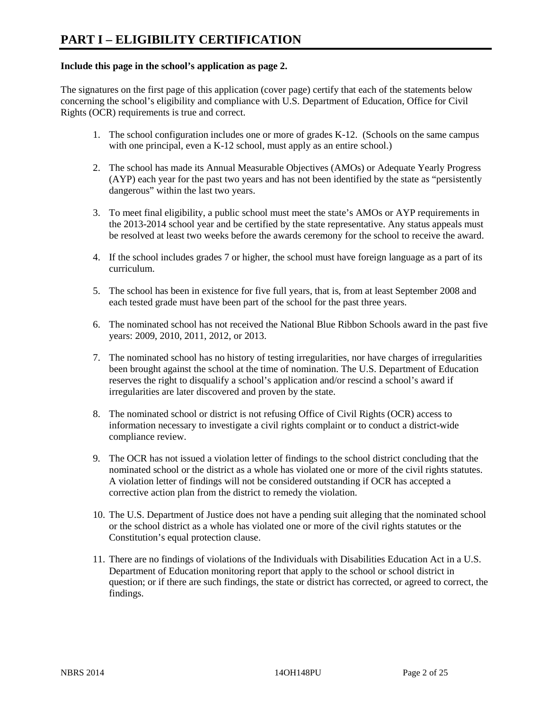### **Include this page in the school's application as page 2.**

The signatures on the first page of this application (cover page) certify that each of the statements below concerning the school's eligibility and compliance with U.S. Department of Education, Office for Civil Rights (OCR) requirements is true and correct.

- 1. The school configuration includes one or more of grades K-12. (Schools on the same campus with one principal, even a K-12 school, must apply as an entire school.)
- 2. The school has made its Annual Measurable Objectives (AMOs) or Adequate Yearly Progress (AYP) each year for the past two years and has not been identified by the state as "persistently dangerous" within the last two years.
- 3. To meet final eligibility, a public school must meet the state's AMOs or AYP requirements in the 2013-2014 school year and be certified by the state representative. Any status appeals must be resolved at least two weeks before the awards ceremony for the school to receive the award.
- 4. If the school includes grades 7 or higher, the school must have foreign language as a part of its curriculum.
- 5. The school has been in existence for five full years, that is, from at least September 2008 and each tested grade must have been part of the school for the past three years.
- 6. The nominated school has not received the National Blue Ribbon Schools award in the past five years: 2009, 2010, 2011, 2012, or 2013.
- 7. The nominated school has no history of testing irregularities, nor have charges of irregularities been brought against the school at the time of nomination. The U.S. Department of Education reserves the right to disqualify a school's application and/or rescind a school's award if irregularities are later discovered and proven by the state.
- 8. The nominated school or district is not refusing Office of Civil Rights (OCR) access to information necessary to investigate a civil rights complaint or to conduct a district-wide compliance review.
- 9. The OCR has not issued a violation letter of findings to the school district concluding that the nominated school or the district as a whole has violated one or more of the civil rights statutes. A violation letter of findings will not be considered outstanding if OCR has accepted a corrective action plan from the district to remedy the violation.
- 10. The U.S. Department of Justice does not have a pending suit alleging that the nominated school or the school district as a whole has violated one or more of the civil rights statutes or the Constitution's equal protection clause.
- 11. There are no findings of violations of the Individuals with Disabilities Education Act in a U.S. Department of Education monitoring report that apply to the school or school district in question; or if there are such findings, the state or district has corrected, or agreed to correct, the findings.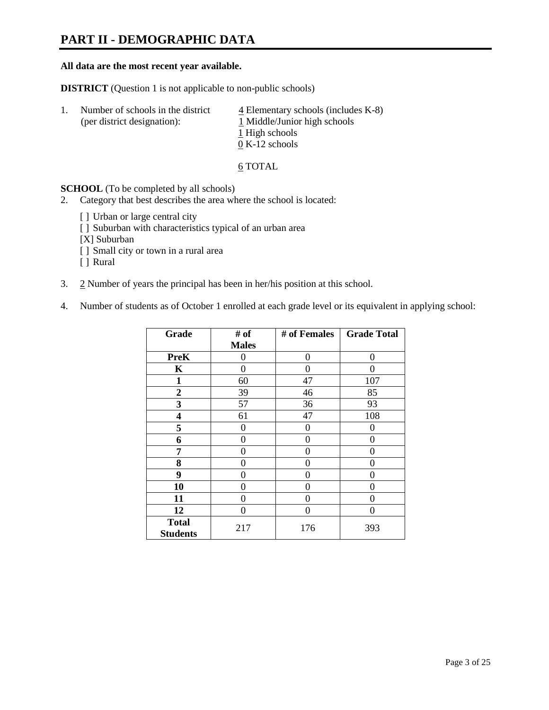# **PART II - DEMOGRAPHIC DATA**

#### **All data are the most recent year available.**

**DISTRICT** (Question 1 is not applicable to non-public schools)

| -1. | Number of schools in the district<br>(per district designation): | $\overline{4}$ Elementary schools (includes K-8)<br>1 Middle/Junior high schools |  |
|-----|------------------------------------------------------------------|----------------------------------------------------------------------------------|--|
|     |                                                                  | 1 High schools                                                                   |  |
|     |                                                                  | $0 K-12$ schools                                                                 |  |

6 TOTAL

**SCHOOL** (To be completed by all schools)

- 2. Category that best describes the area where the school is located:
	- [] Urban or large central city
	- [ ] Suburban with characteristics typical of an urban area
	- [X] Suburban
	- [ ] Small city or town in a rural area
	- [ ] Rural
- 3. 2 Number of years the principal has been in her/his position at this school.
- 4. Number of students as of October 1 enrolled at each grade level or its equivalent in applying school:

| Grade                           | # of         | # of Females | <b>Grade Total</b> |
|---------------------------------|--------------|--------------|--------------------|
|                                 | <b>Males</b> |              |                    |
| <b>PreK</b>                     | 0            | $\theta$     | $\Omega$           |
| K                               | 0            | 0            | 0                  |
| $\mathbf{1}$                    | 60           | 47           | 107                |
| $\mathbf{2}$                    | 39           | 46           | 85                 |
| 3                               | 57           | 36           | 93                 |
| 4                               | 61           | 47           | 108                |
| 5                               | 0            | 0            | 0                  |
| 6                               | 0            | $\Omega$     | 0                  |
| 7                               | 0            | 0            | 0                  |
| 8                               | 0            | 0            | 0                  |
| 9                               | 0            | $\Omega$     | 0                  |
| 10                              | 0            | 0            | 0                  |
| 11                              | 0            | 0            | 0                  |
| 12                              | 0            | 0            | 0                  |
| <b>Total</b><br><b>Students</b> | 217          | 176          | 393                |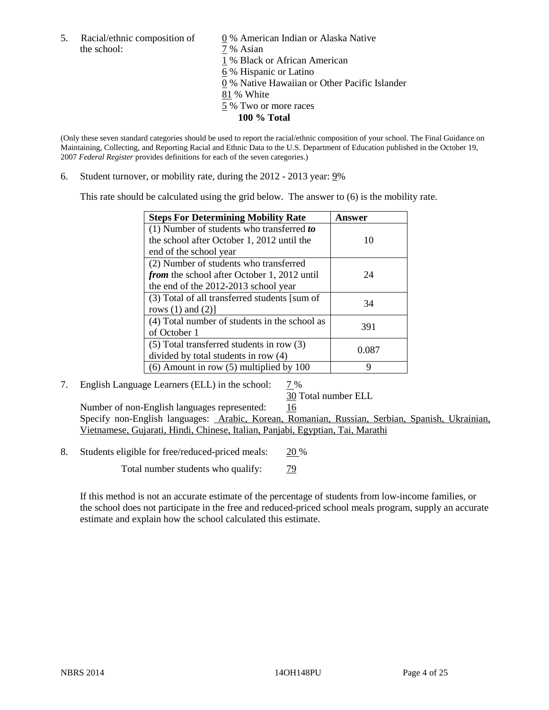the school:  $7\%$  Asian

5. Racial/ethnic composition of  $\qquad \qquad \underline{0}$  % American Indian or Alaska Native

1 % Black or African American

6 % Hispanic or Latino

0 % Native Hawaiian or Other Pacific Islander

81 % White

- 5 % Two or more races
	- **100 % Total**

(Only these seven standard categories should be used to report the racial/ethnic composition of your school. The Final Guidance on Maintaining, Collecting, and Reporting Racial and Ethnic Data to the U.S. Department of Education published in the October 19, 2007 *Federal Register* provides definitions for each of the seven categories.)

6. Student turnover, or mobility rate, during the 2012 - 2013 year: 9%

This rate should be calculated using the grid below. The answer to (6) is the mobility rate.

| <b>Steps For Determining Mobility Rate</b>    | Answer |
|-----------------------------------------------|--------|
| (1) Number of students who transferred to     |        |
| the school after October 1, 2012 until the    | 10     |
| end of the school year                        |        |
| (2) Number of students who transferred        |        |
| from the school after October 1, 2012 until   | 24     |
| the end of the 2012-2013 school year          |        |
| (3) Total of all transferred students [sum of | 34     |
| rows $(1)$ and $(2)$ ]                        |        |
| (4) Total number of students in the school as | 391    |
| of October 1                                  |        |
| $(5)$ Total transferred students in row $(3)$ | 0.087  |
| divided by total students in row (4)          |        |
| $(6)$ Amount in row $(5)$ multiplied by 100   | Q      |

## 7. English Language Learners (ELL) in the school: 7%

30 Total number ELL

Number of non-English languages represented: 16 Specify non-English languages: Arabic, Korean, Romanian, Russian, Serbian, Spanish, Ukrainian, Vietnamese, Gujarati, Hindi, Chinese, Italian, Panjabi, Egyptian, Tai, Marathi

8. Students eligible for free/reduced-priced meals: 20 %

Total number students who qualify:  $\frac{79}{9}$ 

If this method is not an accurate estimate of the percentage of students from low-income families, or the school does not participate in the free and reduced-priced school meals program, supply an accurate estimate and explain how the school calculated this estimate.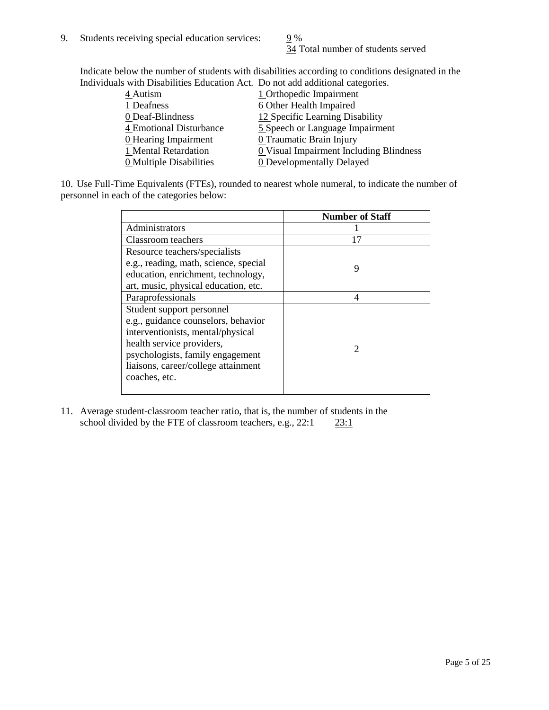34 Total number of students served

Indicate below the number of students with disabilities according to conditions designated in the Individuals with Disabilities Education Act. Do not add additional categories.

| 4 Autism                | 1 Orthopedic Impairment                               |
|-------------------------|-------------------------------------------------------|
| 1 Deafness              | 6 Other Health Impaired                               |
| 0 Deaf-Blindness        | 12 Specific Learning Disability                       |
| 4 Emotional Disturbance | 5 Speech or Language Impairment                       |
| 0 Hearing Impairment    | 0 Traumatic Brain Injury                              |
| 1 Mental Retardation    | $\underline{0}$ Visual Impairment Including Blindness |
| 0 Multiple Disabilities | <b>0</b> Developmentally Delayed                      |
|                         |                                                       |

10. Use Full-Time Equivalents (FTEs), rounded to nearest whole numeral, to indicate the number of personnel in each of the categories below:

|                                       | <b>Number of Staff</b> |
|---------------------------------------|------------------------|
| Administrators                        |                        |
| Classroom teachers                    | 17                     |
| Resource teachers/specialists         |                        |
| e.g., reading, math, science, special | 9                      |
| education, enrichment, technology,    |                        |
| art, music, physical education, etc.  |                        |
| Paraprofessionals                     | 4                      |
| Student support personnel             |                        |
| e.g., guidance counselors, behavior   |                        |
| interventionists, mental/physical     |                        |
| health service providers,             | 2                      |
| psychologists, family engagement      |                        |
| liaisons, career/college attainment   |                        |
| coaches, etc.                         |                        |
|                                       |                        |

11. Average student-classroom teacher ratio, that is, the number of students in the school divided by the FTE of classroom teachers, e.g.,  $22:1$   $23:1$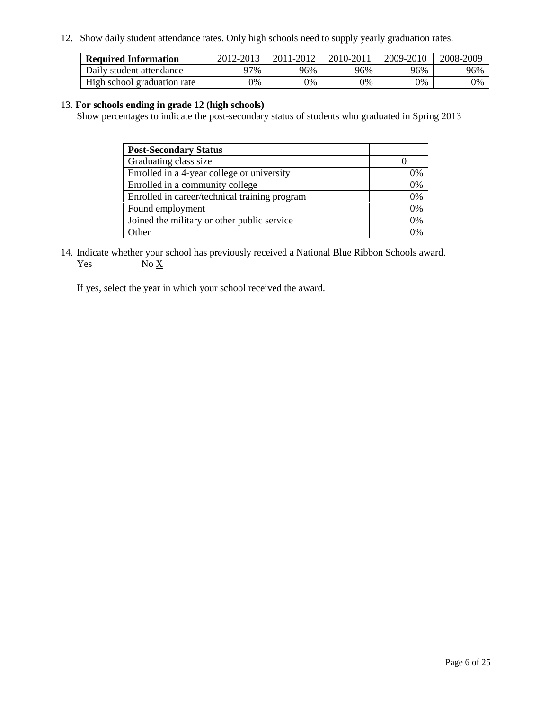12. Show daily student attendance rates. Only high schools need to supply yearly graduation rates.

| <b>Required Information</b> | 2012-2013     | 2011-2012 | 2010-2011 | 2009-2010 | 2008-2009 |
|-----------------------------|---------------|-----------|-----------|-----------|-----------|
| Daily student attendance    | 97%           | 96%       | 96%       | 96%       | 96%       |
| High school graduation rate | $\frac{1}{2}$ | 0%        | 0%        | 0%        | 0%        |

#### 13. **For schools ending in grade 12 (high schools)**

Show percentages to indicate the post-secondary status of students who graduated in Spring 2013

| <b>Post-Secondary Status</b>                  |          |
|-----------------------------------------------|----------|
| Graduating class size                         |          |
| Enrolled in a 4-year college or university    | 0%       |
| Enrolled in a community college               | 0%       |
| Enrolled in career/technical training program | 0%       |
| Found employment                              | 0%       |
| Joined the military or other public service   | 0%       |
| . Other                                       | $\gamma$ |

14. Indicate whether your school has previously received a National Blue Ribbon Schools award. Yes  $No X$ 

If yes, select the year in which your school received the award.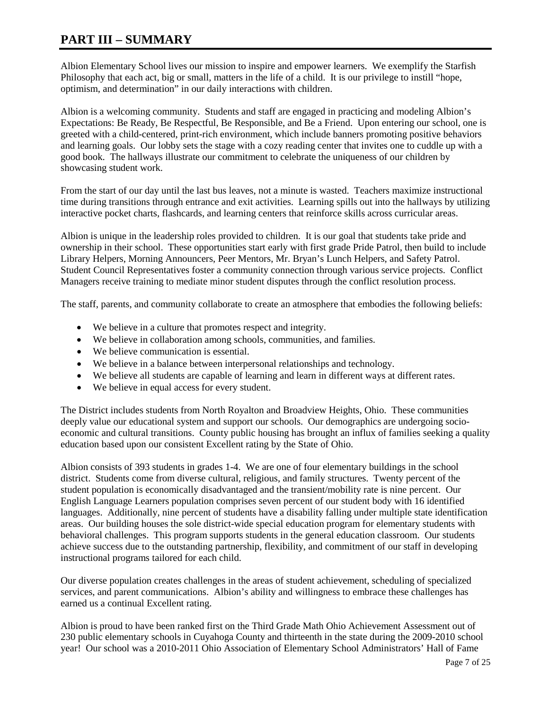# **PART III – SUMMARY**

Albion Elementary School lives our mission to inspire and empower learners. We exemplify the Starfish Philosophy that each act, big or small, matters in the life of a child. It is our privilege to instill "hope, optimism, and determination" in our daily interactions with children.

Albion is a welcoming community. Students and staff are engaged in practicing and modeling Albion's Expectations: Be Ready, Be Respectful, Be Responsible, and Be a Friend. Upon entering our school, one is greeted with a child-centered, print-rich environment, which include banners promoting positive behaviors and learning goals. Our lobby sets the stage with a cozy reading center that invites one to cuddle up with a good book. The hallways illustrate our commitment to celebrate the uniqueness of our children by showcasing student work.

From the start of our day until the last bus leaves, not a minute is wasted. Teachers maximize instructional time during transitions through entrance and exit activities. Learning spills out into the hallways by utilizing interactive pocket charts, flashcards, and learning centers that reinforce skills across curricular areas.

Albion is unique in the leadership roles provided to children. It is our goal that students take pride and ownership in their school. These opportunities start early with first grade Pride Patrol, then build to include Library Helpers, Morning Announcers, Peer Mentors, Mr. Bryan's Lunch Helpers, and Safety Patrol. Student Council Representatives foster a community connection through various service projects. Conflict Managers receive training to mediate minor student disputes through the conflict resolution process.

The staff, parents, and community collaborate to create an atmosphere that embodies the following beliefs:

- We believe in a culture that promotes respect and integrity.
- We believe in collaboration among schools, communities, and families.
- We believe communication is essential.
- We believe in a balance between interpersonal relationships and technology.
- We believe all students are capable of learning and learn in different ways at different rates.
- We believe in equal access for every student.

The District includes students from North Royalton and Broadview Heights, Ohio. These communities deeply value our educational system and support our schools. Our demographics are undergoing socioeconomic and cultural transitions. County public housing has brought an influx of families seeking a quality education based upon our consistent Excellent rating by the State of Ohio.

Albion consists of 393 students in grades 1-4. We are one of four elementary buildings in the school district. Students come from diverse cultural, religious, and family structures. Twenty percent of the student population is economically disadvantaged and the transient/mobility rate is nine percent. Our English Language Learners population comprises seven percent of our student body with 16 identified languages. Additionally, nine percent of students have a disability falling under multiple state identification areas. Our building houses the sole district-wide special education program for elementary students with behavioral challenges. This program supports students in the general education classroom. Our students achieve success due to the outstanding partnership, flexibility, and commitment of our staff in developing instructional programs tailored for each child.

Our diverse population creates challenges in the areas of student achievement, scheduling of specialized services, and parent communications. Albion's ability and willingness to embrace these challenges has earned us a continual Excellent rating.

Albion is proud to have been ranked first on the Third Grade Math Ohio Achievement Assessment out of 230 public elementary schools in Cuyahoga County and thirteenth in the state during the 2009-2010 school year! Our school was a 2010-2011 Ohio Association of Elementary School Administrators' Hall of Fame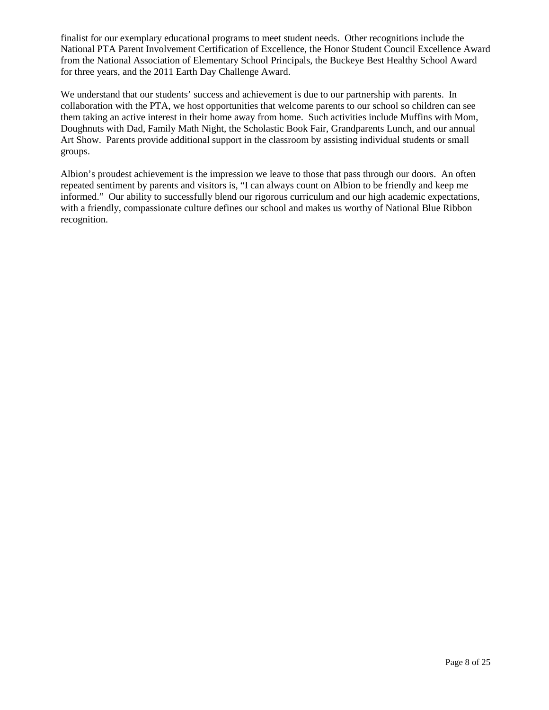finalist for our exemplary educational programs to meet student needs. Other recognitions include the National PTA Parent Involvement Certification of Excellence, the Honor Student Council Excellence Award from the National Association of Elementary School Principals, the Buckeye Best Healthy School Award for three years, and the 2011 Earth Day Challenge Award.

We understand that our students' success and achievement is due to our partnership with parents. In collaboration with the PTA, we host opportunities that welcome parents to our school so children can see them taking an active interest in their home away from home. Such activities include Muffins with Mom, Doughnuts with Dad, Family Math Night, the Scholastic Book Fair, Grandparents Lunch, and our annual Art Show. Parents provide additional support in the classroom by assisting individual students or small groups.

Albion's proudest achievement is the impression we leave to those that pass through our doors. An often repeated sentiment by parents and visitors is, "I can always count on Albion to be friendly and keep me informed." Our ability to successfully blend our rigorous curriculum and our high academic expectations, with a friendly, compassionate culture defines our school and makes us worthy of National Blue Ribbon recognition.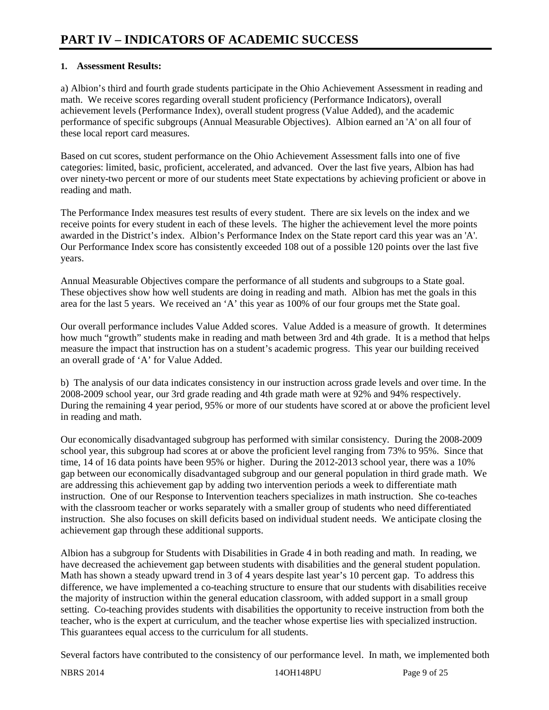## **1. Assessment Results:**

a) Albion's third and fourth grade students participate in the Ohio Achievement Assessment in reading and math. We receive scores regarding overall student proficiency (Performance Indicators), overall achievement levels (Performance Index), overall student progress (Value Added), and the academic performance of specific subgroups (Annual Measurable Objectives). Albion earned an 'A' on all four of these local report card measures.

Based on cut scores, student performance on the Ohio Achievement Assessment falls into one of five categories: limited, basic, proficient, accelerated, and advanced. Over the last five years, Albion has had over ninety-two percent or more of our students meet State expectations by achieving proficient or above in reading and math.

The Performance Index measures test results of every student. There are six levels on the index and we receive points for every student in each of these levels. The higher the achievement level the more points awarded in the District's index. Albion's Performance Index on the State report card this year was an 'A'. Our Performance Index score has consistently exceeded 108 out of a possible 120 points over the last five years.

Annual Measurable Objectives compare the performance of all students and subgroups to a State goal. These objectives show how well students are doing in reading and math. Albion has met the goals in this area for the last 5 years. We received an 'A' this year as 100% of our four groups met the State goal.

Our overall performance includes Value Added scores. Value Added is a measure of growth. It determines how much "growth" students make in reading and math between 3rd and 4th grade. It is a method that helps measure the impact that instruction has on a student's academic progress. This year our building received an overall grade of 'A' for Value Added.

b) The analysis of our data indicates consistency in our instruction across grade levels and over time. In the 2008-2009 school year, our 3rd grade reading and 4th grade math were at 92% and 94% respectively. During the remaining 4 year period, 95% or more of our students have scored at or above the proficient level in reading and math.

Our economically disadvantaged subgroup has performed with similar consistency. During the 2008-2009 school year, this subgroup had scores at or above the proficient level ranging from 73% to 95%. Since that time, 14 of 16 data points have been 95% or higher. During the 2012-2013 school year, there was a 10% gap between our economically disadvantaged subgroup and our general population in third grade math. We are addressing this achievement gap by adding two intervention periods a week to differentiate math instruction. One of our Response to Intervention teachers specializes in math instruction. She co-teaches with the classroom teacher or works separately with a smaller group of students who need differentiated instruction. She also focuses on skill deficits based on individual student needs. We anticipate closing the achievement gap through these additional supports.

Albion has a subgroup for Students with Disabilities in Grade 4 in both reading and math. In reading, we have decreased the achievement gap between students with disabilities and the general student population. Math has shown a steady upward trend in 3 of 4 years despite last year's 10 percent gap. To address this difference, we have implemented a co-teaching structure to ensure that our students with disabilities receive the majority of instruction within the general education classroom, with added support in a small group setting. Co-teaching provides students with disabilities the opportunity to receive instruction from both the teacher, who is the expert at curriculum, and the teacher whose expertise lies with specialized instruction. This guarantees equal access to the curriculum for all students.

Several factors have contributed to the consistency of our performance level. In math, we implemented both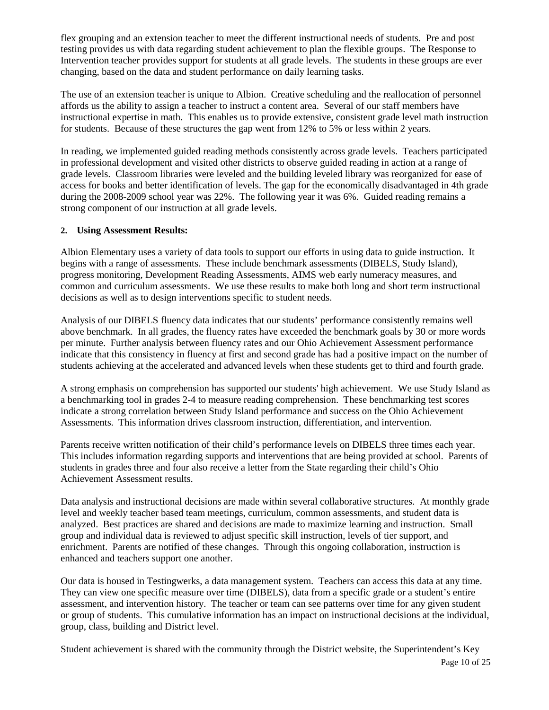flex grouping and an extension teacher to meet the different instructional needs of students. Pre and post testing provides us with data regarding student achievement to plan the flexible groups. The Response to Intervention teacher provides support for students at all grade levels. The students in these groups are ever changing, based on the data and student performance on daily learning tasks.

The use of an extension teacher is unique to Albion. Creative scheduling and the reallocation of personnel affords us the ability to assign a teacher to instruct a content area. Several of our staff members have instructional expertise in math. This enables us to provide extensive, consistent grade level math instruction for students. Because of these structures the gap went from 12% to 5% or less within 2 years.

In reading, we implemented guided reading methods consistently across grade levels. Teachers participated in professional development and visited other districts to observe guided reading in action at a range of grade levels. Classroom libraries were leveled and the building leveled library was reorganized for ease of access for books and better identification of levels. The gap for the economically disadvantaged in 4th grade during the 2008-2009 school year was 22%. The following year it was 6%. Guided reading remains a strong component of our instruction at all grade levels.

#### **2. Using Assessment Results:**

Albion Elementary uses a variety of data tools to support our efforts in using data to guide instruction. It begins with a range of assessments. These include benchmark assessments (DIBELS, Study Island), progress monitoring, Development Reading Assessments, AIMS web early numeracy measures, and common and curriculum assessments. We use these results to make both long and short term instructional decisions as well as to design interventions specific to student needs.

Analysis of our DIBELS fluency data indicates that our students' performance consistently remains well above benchmark. In all grades, the fluency rates have exceeded the benchmark goals by 30 or more words per minute. Further analysis between fluency rates and our Ohio Achievement Assessment performance indicate that this consistency in fluency at first and second grade has had a positive impact on the number of students achieving at the accelerated and advanced levels when these students get to third and fourth grade.

A strong emphasis on comprehension has supported our students' high achievement. We use Study Island as a benchmarking tool in grades 2-4 to measure reading comprehension. These benchmarking test scores indicate a strong correlation between Study Island performance and success on the Ohio Achievement Assessments. This information drives classroom instruction, differentiation, and intervention.

Parents receive written notification of their child's performance levels on DIBELS three times each year. This includes information regarding supports and interventions that are being provided at school. Parents of students in grades three and four also receive a letter from the State regarding their child's Ohio Achievement Assessment results.

Data analysis and instructional decisions are made within several collaborative structures. At monthly grade level and weekly teacher based team meetings, curriculum, common assessments, and student data is analyzed. Best practices are shared and decisions are made to maximize learning and instruction. Small group and individual data is reviewed to adjust specific skill instruction, levels of tier support, and enrichment. Parents are notified of these changes. Through this ongoing collaboration, instruction is enhanced and teachers support one another.

Our data is housed in Testingwerks, a data management system. Teachers can access this data at any time. They can view one specific measure over time (DIBELS), data from a specific grade or a student's entire assessment, and intervention history. The teacher or team can see patterns over time for any given student or group of students. This cumulative information has an impact on instructional decisions at the individual, group, class, building and District level.

Student achievement is shared with the community through the District website, the Superintendent's Key Page 10 of 25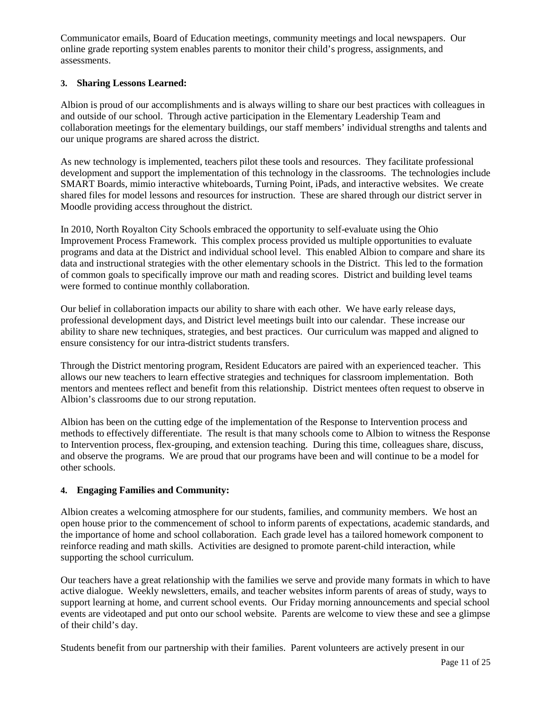Communicator emails, Board of Education meetings, community meetings and local newspapers. Our online grade reporting system enables parents to monitor their child's progress, assignments, and assessments.

### **3. Sharing Lessons Learned:**

Albion is proud of our accomplishments and is always willing to share our best practices with colleagues in and outside of our school. Through active participation in the Elementary Leadership Team and collaboration meetings for the elementary buildings, our staff members' individual strengths and talents and our unique programs are shared across the district.

As new technology is implemented, teachers pilot these tools and resources. They facilitate professional development and support the implementation of this technology in the classrooms. The technologies include SMART Boards, mimio interactive whiteboards, Turning Point, iPads, and interactive websites. We create shared files for model lessons and resources for instruction. These are shared through our district server in Moodle providing access throughout the district.

In 2010, North Royalton City Schools embraced the opportunity to self-evaluate using the Ohio Improvement Process Framework. This complex process provided us multiple opportunities to evaluate programs and data at the District and individual school level. This enabled Albion to compare and share its data and instructional strategies with the other elementary schools in the District. This led to the formation of common goals to specifically improve our math and reading scores. District and building level teams were formed to continue monthly collaboration.

Our belief in collaboration impacts our ability to share with each other. We have early release days, professional development days, and District level meetings built into our calendar. These increase our ability to share new techniques, strategies, and best practices. Our curriculum was mapped and aligned to ensure consistency for our intra-district students transfers.

Through the District mentoring program, Resident Educators are paired with an experienced teacher. This allows our new teachers to learn effective strategies and techniques for classroom implementation. Both mentors and mentees reflect and benefit from this relationship. District mentees often request to observe in Albion's classrooms due to our strong reputation.

Albion has been on the cutting edge of the implementation of the Response to Intervention process and methods to effectively differentiate. The result is that many schools come to Albion to witness the Response to Intervention process, flex-grouping, and extension teaching. During this time, colleagues share, discuss, and observe the programs. We are proud that our programs have been and will continue to be a model for other schools.

## **4. Engaging Families and Community:**

Albion creates a welcoming atmosphere for our students, families, and community members. We host an open house prior to the commencement of school to inform parents of expectations, academic standards, and the importance of home and school collaboration. Each grade level has a tailored homework component to reinforce reading and math skills. Activities are designed to promote parent-child interaction, while supporting the school curriculum.

Our teachers have a great relationship with the families we serve and provide many formats in which to have active dialogue. Weekly newsletters, emails, and teacher websites inform parents of areas of study, ways to support learning at home, and current school events. Our Friday morning announcements and special school events are videotaped and put onto our school website. Parents are welcome to view these and see a glimpse of their child's day.

Students benefit from our partnership with their families. Parent volunteers are actively present in our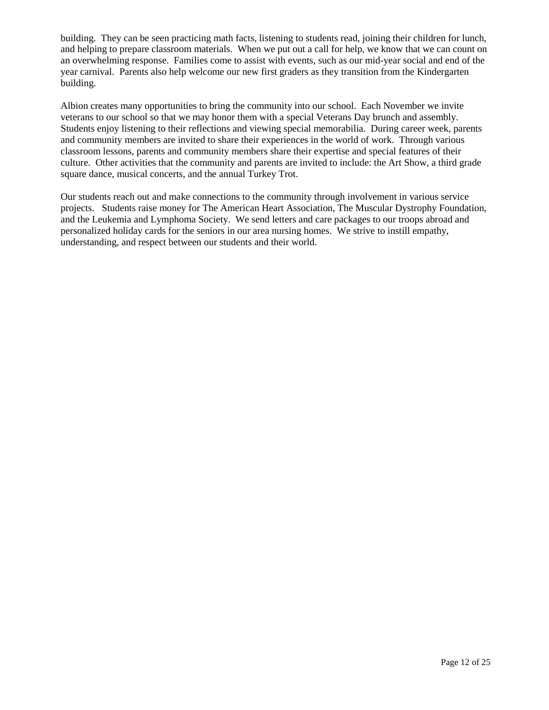building. They can be seen practicing math facts, listening to students read, joining their children for lunch, and helping to prepare classroom materials. When we put out a call for help, we know that we can count on an overwhelming response. Families come to assist with events, such as our mid-year social and end of the year carnival. Parents also help welcome our new first graders as they transition from the Kindergarten building.

Albion creates many opportunities to bring the community into our school. Each November we invite veterans to our school so that we may honor them with a special Veterans Day brunch and assembly. Students enjoy listening to their reflections and viewing special memorabilia. During career week, parents and community members are invited to share their experiences in the world of work. Through various classroom lessons, parents and community members share their expertise and special features of their culture. Other activities that the community and parents are invited to include: the Art Show, a third grade square dance, musical concerts, and the annual Turkey Trot.

Our students reach out and make connections to the community through involvement in various service projects. Students raise money for The American Heart Association, The Muscular Dystrophy Foundation, and the Leukemia and Lymphoma Society. We send letters and care packages to our troops abroad and personalized holiday cards for the seniors in our area nursing homes. We strive to instill empathy, understanding, and respect between our students and their world.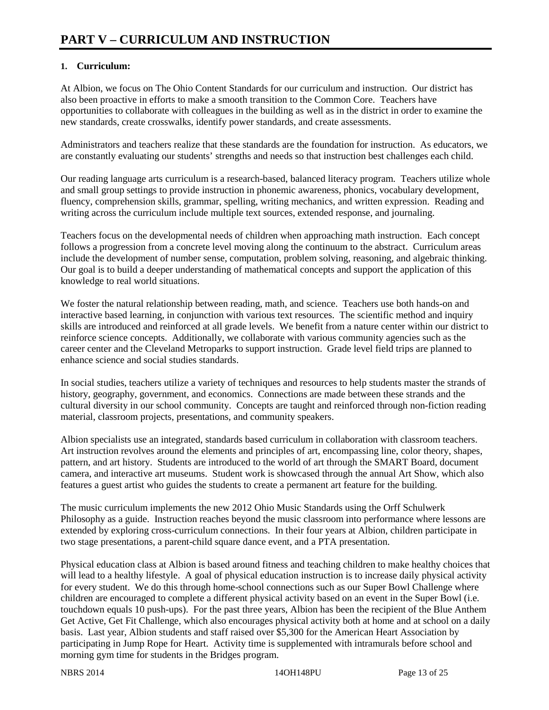## **1. Curriculum:**

At Albion, we focus on The Ohio Content Standards for our curriculum and instruction. Our district has also been proactive in efforts to make a smooth transition to the Common Core. Teachers have opportunities to collaborate with colleagues in the building as well as in the district in order to examine the new standards, create crosswalks, identify power standards, and create assessments.

Administrators and teachers realize that these standards are the foundation for instruction. As educators, we are constantly evaluating our students' strengths and needs so that instruction best challenges each child.

Our reading language arts curriculum is a research-based, balanced literacy program. Teachers utilize whole and small group settings to provide instruction in phonemic awareness, phonics, vocabulary development, fluency, comprehension skills, grammar, spelling, writing mechanics, and written expression. Reading and writing across the curriculum include multiple text sources, extended response, and journaling.

Teachers focus on the developmental needs of children when approaching math instruction. Each concept follows a progression from a concrete level moving along the continuum to the abstract. Curriculum areas include the development of number sense, computation, problem solving, reasoning, and algebraic thinking. Our goal is to build a deeper understanding of mathematical concepts and support the application of this knowledge to real world situations.

We foster the natural relationship between reading, math, and science. Teachers use both hands-on and interactive based learning, in conjunction with various text resources. The scientific method and inquiry skills are introduced and reinforced at all grade levels. We benefit from a nature center within our district to reinforce science concepts. Additionally, we collaborate with various community agencies such as the career center and the Cleveland Metroparks to support instruction. Grade level field trips are planned to enhance science and social studies standards.

In social studies, teachers utilize a variety of techniques and resources to help students master the strands of history, geography, government, and economics. Connections are made between these strands and the cultural diversity in our school community. Concepts are taught and reinforced through non-fiction reading material, classroom projects, presentations, and community speakers.

Albion specialists use an integrated, standards based curriculum in collaboration with classroom teachers. Art instruction revolves around the elements and principles of art, encompassing line, color theory, shapes, pattern, and art history. Students are introduced to the world of art through the SMART Board, document camera, and interactive art museums. Student work is showcased through the annual Art Show, which also features a guest artist who guides the students to create a permanent art feature for the building.

The music curriculum implements the new 2012 Ohio Music Standards using the Orff Schulwerk Philosophy as a guide. Instruction reaches beyond the music classroom into performance where lessons are extended by exploring cross-curriculum connections. In their four years at Albion, children participate in two stage presentations, a parent-child square dance event, and a PTA presentation.

Physical education class at Albion is based around fitness and teaching children to make healthy choices that will lead to a healthy lifestyle. A goal of physical education instruction is to increase daily physical activity for every student. We do this through home-school connections such as our Super Bowl Challenge where children are encouraged to complete a different physical activity based on an event in the Super Bowl (i.e. touchdown equals 10 push-ups). For the past three years, Albion has been the recipient of the Blue Anthem Get Active, Get Fit Challenge, which also encourages physical activity both at home and at school on a daily basis. Last year, Albion students and staff raised over \$5,300 for the American Heart Association by participating in Jump Rope for Heart. Activity time is supplemented with intramurals before school and morning gym time for students in the Bridges program.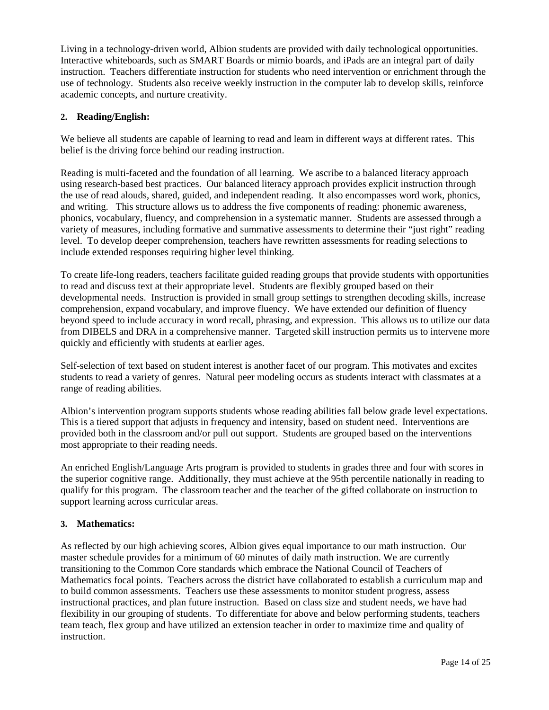Living in a technology-driven world, Albion students are provided with daily technological opportunities. Interactive whiteboards, such as SMART Boards or mimio boards, and iPads are an integral part of daily instruction. Teachers differentiate instruction for students who need intervention or enrichment through the use of technology. Students also receive weekly instruction in the computer lab to develop skills, reinforce academic concepts, and nurture creativity.

### **2. Reading/English:**

We believe all students are capable of learning to read and learn in different ways at different rates. This belief is the driving force behind our reading instruction.

Reading is multi-faceted and the foundation of all learning. We ascribe to a balanced literacy approach using research-based best practices. Our balanced literacy approach provides explicit instruction through the use of read alouds, shared, guided, and independent reading. It also encompasses word work, phonics, and writing. This structure allows us to address the five components of reading: phonemic awareness, phonics, vocabulary, fluency, and comprehension in a systematic manner. Students are assessed through a variety of measures, including formative and summative assessments to determine their "just right" reading level. To develop deeper comprehension, teachers have rewritten assessments for reading selections to include extended responses requiring higher level thinking.

To create life-long readers, teachers facilitate guided reading groups that provide students with opportunities to read and discuss text at their appropriate level. Students are flexibly grouped based on their developmental needs. Instruction is provided in small group settings to strengthen decoding skills, increase comprehension, expand vocabulary, and improve fluency. We have extended our definition of fluency beyond speed to include accuracy in word recall, phrasing, and expression. This allows us to utilize our data from DIBELS and DRA in a comprehensive manner. Targeted skill instruction permits us to intervene more quickly and efficiently with students at earlier ages.

Self-selection of text based on student interest is another facet of our program. This motivates and excites students to read a variety of genres. Natural peer modeling occurs as students interact with classmates at a range of reading abilities.

Albion's intervention program supports students whose reading abilities fall below grade level expectations. This is a tiered support that adjusts in frequency and intensity, based on student need. Interventions are provided both in the classroom and/or pull out support. Students are grouped based on the interventions most appropriate to their reading needs.

An enriched English/Language Arts program is provided to students in grades three and four with scores in the superior cognitive range. Additionally, they must achieve at the 95th percentile nationally in reading to qualify for this program. The classroom teacher and the teacher of the gifted collaborate on instruction to support learning across curricular areas.

#### **3. Mathematics:**

As reflected by our high achieving scores, Albion gives equal importance to our math instruction. Our master schedule provides for a minimum of 60 minutes of daily math instruction. We are currently transitioning to the Common Core standards which embrace the National Council of Teachers of Mathematics focal points. Teachers across the district have collaborated to establish a curriculum map and to build common assessments. Teachers use these assessments to monitor student progress, assess instructional practices, and plan future instruction. Based on class size and student needs, we have had flexibility in our grouping of students. To differentiate for above and below performing students, teachers team teach, flex group and have utilized an extension teacher in order to maximize time and quality of instruction.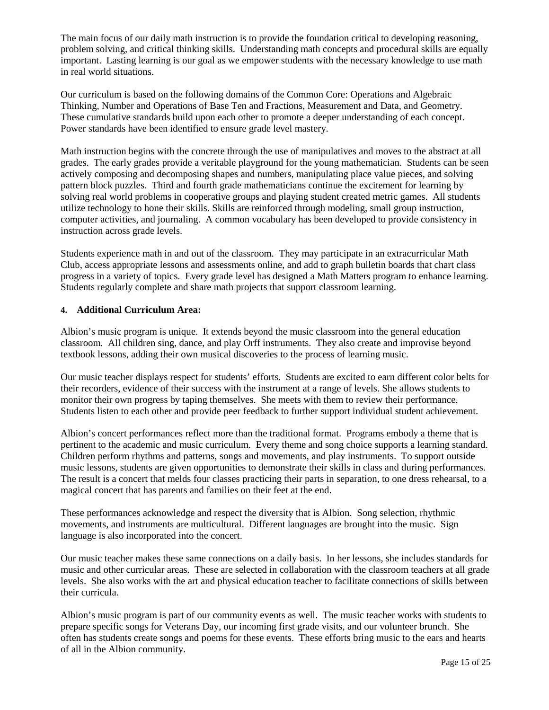The main focus of our daily math instruction is to provide the foundation critical to developing reasoning, problem solving, and critical thinking skills. Understanding math concepts and procedural skills are equally important. Lasting learning is our goal as we empower students with the necessary knowledge to use math in real world situations.

Our curriculum is based on the following domains of the Common Core: Operations and Algebraic Thinking, Number and Operations of Base Ten and Fractions, Measurement and Data, and Geometry. These cumulative standards build upon each other to promote a deeper understanding of each concept. Power standards have been identified to ensure grade level mastery.

Math instruction begins with the concrete through the use of manipulatives and moves to the abstract at all grades. The early grades provide a veritable playground for the young mathematician. Students can be seen actively composing and decomposing shapes and numbers, manipulating place value pieces, and solving pattern block puzzles. Third and fourth grade mathematicians continue the excitement for learning by solving real world problems in cooperative groups and playing student created metric games. All students utilize technology to hone their skills. Skills are reinforced through modeling, small group instruction, computer activities, and journaling. A common vocabulary has been developed to provide consistency in instruction across grade levels.

Students experience math in and out of the classroom. They may participate in an extracurricular Math Club, access appropriate lessons and assessments online, and add to graph bulletin boards that chart class progress in a variety of topics. Every grade level has designed a Math Matters program to enhance learning. Students regularly complete and share math projects that support classroom learning.

#### **4. Additional Curriculum Area:**

Albion's music program is unique. It extends beyond the music classroom into the general education classroom. All children sing, dance, and play Orff instruments. They also create and improvise beyond textbook lessons, adding their own musical discoveries to the process of learning music.

Our music teacher displays respect for students' efforts. Students are excited to earn different color belts for their recorders, evidence of their success with the instrument at a range of levels. She allows students to monitor their own progress by taping themselves. She meets with them to review their performance. Students listen to each other and provide peer feedback to further support individual student achievement.

Albion's concert performances reflect more than the traditional format. Programs embody a theme that is pertinent to the academic and music curriculum. Every theme and song choice supports a learning standard. Children perform rhythms and patterns, songs and movements, and play instruments. To support outside music lessons, students are given opportunities to demonstrate their skills in class and during performances. The result is a concert that melds four classes practicing their parts in separation, to one dress rehearsal, to a magical concert that has parents and families on their feet at the end.

These performances acknowledge and respect the diversity that is Albion. Song selection, rhythmic movements, and instruments are multicultural. Different languages are brought into the music. Sign language is also incorporated into the concert.

Our music teacher makes these same connections on a daily basis. In her lessons, she includes standards for music and other curricular areas. These are selected in collaboration with the classroom teachers at all grade levels. She also works with the art and physical education teacher to facilitate connections of skills between their curricula.

Albion's music program is part of our community events as well. The music teacher works with students to prepare specific songs for Veterans Day, our incoming first grade visits, and our volunteer brunch. She often has students create songs and poems for these events. These efforts bring music to the ears and hearts of all in the Albion community.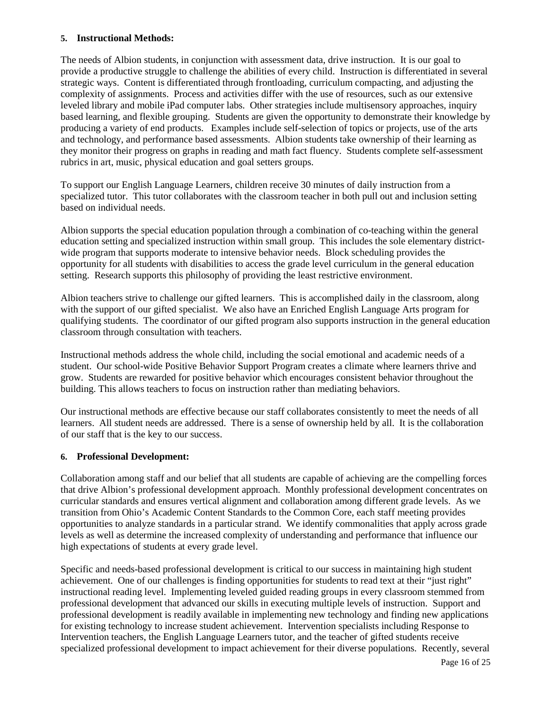#### **5. Instructional Methods:**

The needs of Albion students, in conjunction with assessment data, drive instruction. It is our goal to provide a productive struggle to challenge the abilities of every child. Instruction is differentiated in several strategic ways. Content is differentiated through frontloading, curriculum compacting, and adjusting the complexity of assignments. Process and activities differ with the use of resources, such as our extensive leveled library and mobile iPad computer labs. Other strategies include multisensory approaches, inquiry based learning, and flexible grouping. Students are given the opportunity to demonstrate their knowledge by producing a variety of end products. Examples include self-selection of topics or projects, use of the arts and technology, and performance based assessments. Albion students take ownership of their learning as they monitor their progress on graphs in reading and math fact fluency. Students complete self-assessment rubrics in art, music, physical education and goal setters groups.

To support our English Language Learners, children receive 30 minutes of daily instruction from a specialized tutor. This tutor collaborates with the classroom teacher in both pull out and inclusion setting based on individual needs.

Albion supports the special education population through a combination of co-teaching within the general education setting and specialized instruction within small group. This includes the sole elementary districtwide program that supports moderate to intensive behavior needs. Block scheduling provides the opportunity for all students with disabilities to access the grade level curriculum in the general education setting. Research supports this philosophy of providing the least restrictive environment.

Albion teachers strive to challenge our gifted learners. This is accomplished daily in the classroom, along with the support of our gifted specialist. We also have an Enriched English Language Arts program for qualifying students. The coordinator of our gifted program also supports instruction in the general education classroom through consultation with teachers.

Instructional methods address the whole child, including the social emotional and academic needs of a student. Our school-wide Positive Behavior Support Program creates a climate where learners thrive and grow. Students are rewarded for positive behavior which encourages consistent behavior throughout the building. This allows teachers to focus on instruction rather than mediating behaviors.

Our instructional methods are effective because our staff collaborates consistently to meet the needs of all learners. All student needs are addressed. There is a sense of ownership held by all. It is the collaboration of our staff that is the key to our success.

#### **6. Professional Development:**

Collaboration among staff and our belief that all students are capable of achieving are the compelling forces that drive Albion's professional development approach. Monthly professional development concentrates on curricular standards and ensures vertical alignment and collaboration among different grade levels. As we transition from Ohio's Academic Content Standards to the Common Core, each staff meeting provides opportunities to analyze standards in a particular strand. We identify commonalities that apply across grade levels as well as determine the increased complexity of understanding and performance that influence our high expectations of students at every grade level.

Specific and needs-based professional development is critical to our success in maintaining high student achievement. One of our challenges is finding opportunities for students to read text at their "just right" instructional reading level. Implementing leveled guided reading groups in every classroom stemmed from professional development that advanced our skills in executing multiple levels of instruction. Support and professional development is readily available in implementing new technology and finding new applications for existing technology to increase student achievement. Intervention specialists including Response to Intervention teachers, the English Language Learners tutor, and the teacher of gifted students receive specialized professional development to impact achievement for their diverse populations. Recently, several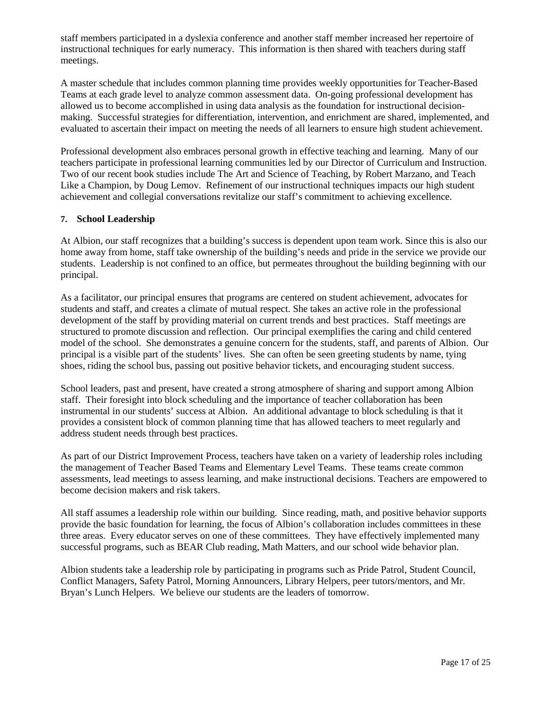staff members participated in a dyslexia conference and another staff member increased her repertoire of instructional techniques for early numeracy. This information is then shared with teachers during staff meetings.

A master schedule that includes common planning time provides weekly opportunities for Teacher-Based Teams at each grade level to analyze common assessment data. On-going professional development has allowed us to become accomplished in using data analysis as the foundation for instructional decisionmaking. Successful strategies for differentiation, intervention, and enrichment are shared, implemented, and evaluated to ascertain their impact on meeting the needs of all learners to ensure high student achievement.

Professional development also embraces personal growth in effective teaching and learning. Many of our teachers participate in professional learning communities led by our Director of Curriculum and Instruction. Two of our recent book studies include The Art and Science of Teaching, by Robert Marzano, and Teach Like a Champion, by Doug Lemov. Refinement of our instructional techniques impacts our high student achievement and collegial conversations revitalize our staff's commitment to achieving excellence.

### **7. School Leadership**

At Albion, our staff recognizes that a building's success is dependent upon team work. Since this is also our home away from home, staff take ownership of the building's needs and pride in the service we provide our students. Leadership is not confined to an office, but permeates throughout the building beginning with our principal.

As a facilitator, our principal ensures that programs are centered on student achievement, advocates for students and staff, and creates a climate of mutual respect. She takes an active role in the professional development of the staff by providing material on current trends and best practices. Staff meetings are structured to promote discussion and reflection. Our principal exemplifies the caring and child centered model of the school. She demonstrates a genuine concern for the students, staff, and parents of Albion. Our principal is a visible part of the students' lives. She can often be seen greeting students by name, tying shoes, riding the school bus, passing out positive behavior tickets, and encouraging student success.

School leaders, past and present, have created a strong atmosphere of sharing and support among Albion staff. Their foresight into block scheduling and the importance of teacher collaboration has been instrumental in our students' success at Albion. An additional advantage to block scheduling is that it provides a consistent block of common planning time that has allowed teachers to meet regularly and address student needs through best practices.

As part of our District Improvement Process, teachers have taken on a variety of leadership roles including the management of Teacher Based Teams and Elementary Level Teams. These teams create common assessments, lead meetings to assess learning, and make instructional decisions. Teachers are empowered to become decision makers and risk takers.

All staff assumes a leadership role within our building. Since reading, math, and positive behavior supports provide the basic foundation for learning, the focus of Albion's collaboration includes committees in these three areas. Every educator serves on one of these committees. They have effectively implemented many successful programs, such as BEAR Club reading, Math Matters, and our school wide behavior plan.

Albion students take a leadership role by participating in programs such as Pride Patrol, Student Council, Conflict Managers, Safety Patrol, Morning Announcers, Library Helpers, peer tutors/mentors, and Mr. Bryan's Lunch Helpers. We believe our students are the leaders of tomorrow.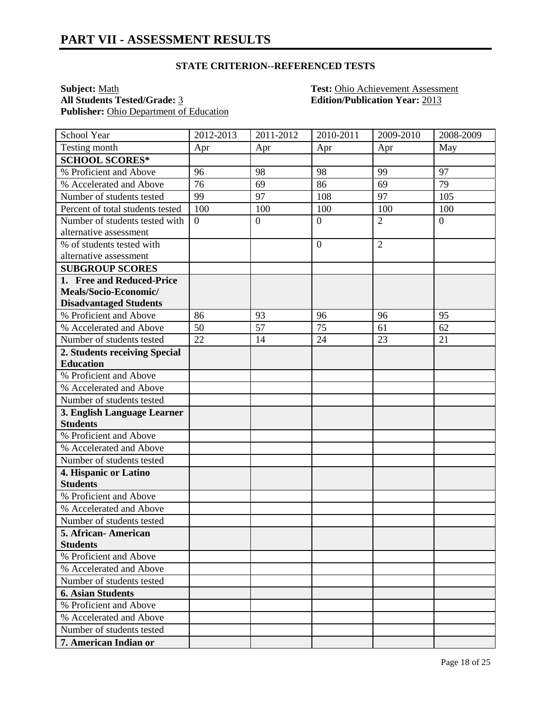## **STATE CRITERION--REFERENCED TESTS**

**Subject:** <u>Math **Test:** Ohio Achievement Assessment</u><br> **All Students Tested/Grade:** <u>3</u> **Test: Chio Achievement Assessment**<br> **Edition/Publication Year:** 2013 Publisher: Ohio Department of Education

**All Students Tested/Grade:** 3 **Edition/Publication Year:** 2013

| School Year                      | 2012-2013      | 2011-2012      | 2010-2011      | 2009-2010      | 2008-2009        |
|----------------------------------|----------------|----------------|----------------|----------------|------------------|
| Testing month                    | Apr            | Apr            | Apr            | Apr            | May              |
| <b>SCHOOL SCORES*</b>            |                |                |                |                |                  |
| % Proficient and Above           | 96             | 98             | 98             | 99             | 97               |
| % Accelerated and Above          | 76             | 69             | 86             | 69             | 79               |
| Number of students tested        | 99             | 97             | 108            | 97             | 105              |
| Percent of total students tested | 100            | 100            | 100            | 100            | 100              |
| Number of students tested with   | $\overline{0}$ | $\overline{0}$ | $\overline{0}$ | $\overline{2}$ | $\boldsymbol{0}$ |
| alternative assessment           |                |                |                |                |                  |
| % of students tested with        |                |                | $\overline{0}$ | $\overline{2}$ |                  |
| alternative assessment           |                |                |                |                |                  |
| <b>SUBGROUP SCORES</b>           |                |                |                |                |                  |
| 1. Free and Reduced-Price        |                |                |                |                |                  |
| Meals/Socio-Economic/            |                |                |                |                |                  |
| <b>Disadvantaged Students</b>    |                |                |                |                |                  |
| % Proficient and Above           | 86             | 93             | 96             | 96             | 95               |
| % Accelerated and Above          | 50             | 57             | 75             | 61             | 62               |
| Number of students tested        | 22             | 14             | 24             | 23             | 21               |
| 2. Students receiving Special    |                |                |                |                |                  |
| <b>Education</b>                 |                |                |                |                |                  |
| % Proficient and Above           |                |                |                |                |                  |
| % Accelerated and Above          |                |                |                |                |                  |
| Number of students tested        |                |                |                |                |                  |
| 3. English Language Learner      |                |                |                |                |                  |
| <b>Students</b>                  |                |                |                |                |                  |
| % Proficient and Above           |                |                |                |                |                  |
| % Accelerated and Above          |                |                |                |                |                  |
| Number of students tested        |                |                |                |                |                  |
| 4. Hispanic or Latino            |                |                |                |                |                  |
| <b>Students</b>                  |                |                |                |                |                  |
| % Proficient and Above           |                |                |                |                |                  |
| % Accelerated and Above          |                |                |                |                |                  |
| Number of students tested        |                |                |                |                |                  |
| 5. African- American             |                |                |                |                |                  |
| <b>Students</b>                  |                |                |                |                |                  |
| % Proficient and Above           |                |                |                |                |                  |
| % Accelerated and Above          |                |                |                |                |                  |
| Number of students tested        |                |                |                |                |                  |
| <b>6. Asian Students</b>         |                |                |                |                |                  |
| % Proficient and Above           |                |                |                |                |                  |
| % Accelerated and Above          |                |                |                |                |                  |
| Number of students tested        |                |                |                |                |                  |
| 7. American Indian or            |                |                |                |                |                  |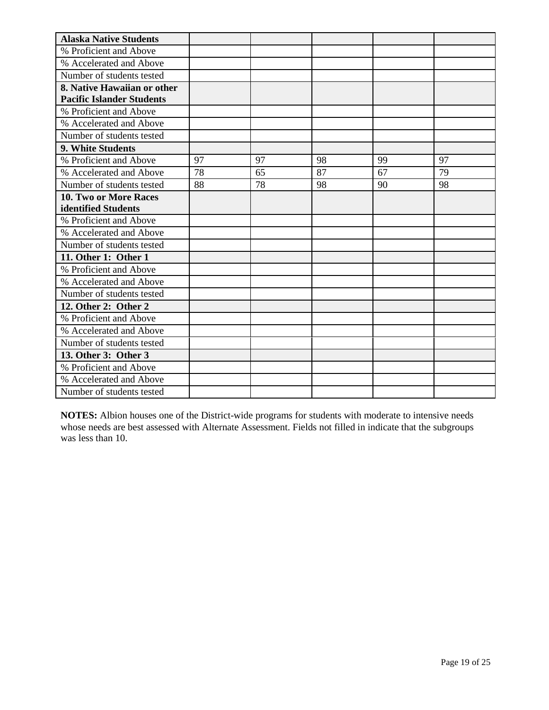| <b>Alaska Native Students</b>    |    |    |    |    |    |
|----------------------------------|----|----|----|----|----|
| % Proficient and Above           |    |    |    |    |    |
| % Accelerated and Above          |    |    |    |    |    |
| Number of students tested        |    |    |    |    |    |
| 8. Native Hawaiian or other      |    |    |    |    |    |
| <b>Pacific Islander Students</b> |    |    |    |    |    |
| % Proficient and Above           |    |    |    |    |    |
| % Accelerated and Above          |    |    |    |    |    |
| Number of students tested        |    |    |    |    |    |
| 9. White Students                |    |    |    |    |    |
| % Proficient and Above           | 97 | 97 | 98 | 99 | 97 |
| % Accelerated and Above          | 78 | 65 | 87 | 67 | 79 |
| Number of students tested        | 88 | 78 | 98 | 90 | 98 |
| <b>10. Two or More Races</b>     |    |    |    |    |    |
| identified Students              |    |    |    |    |    |
| % Proficient and Above           |    |    |    |    |    |
| % Accelerated and Above          |    |    |    |    |    |
| Number of students tested        |    |    |    |    |    |
| 11. Other 1: Other 1             |    |    |    |    |    |
| % Proficient and Above           |    |    |    |    |    |
| % Accelerated and Above          |    |    |    |    |    |
| Number of students tested        |    |    |    |    |    |
| 12. Other 2: Other 2             |    |    |    |    |    |
| % Proficient and Above           |    |    |    |    |    |
| % Accelerated and Above          |    |    |    |    |    |
| Number of students tested        |    |    |    |    |    |
| 13. Other 3: Other 3             |    |    |    |    |    |
| % Proficient and Above           |    |    |    |    |    |
| % Accelerated and Above          |    |    |    |    |    |
| Number of students tested        |    |    |    |    |    |

**NOTES:** Albion houses one of the District-wide programs for students with moderate to intensive needs whose needs are best assessed with Alternate Assessment. Fields not filled in indicate that the subgroups was less than 10.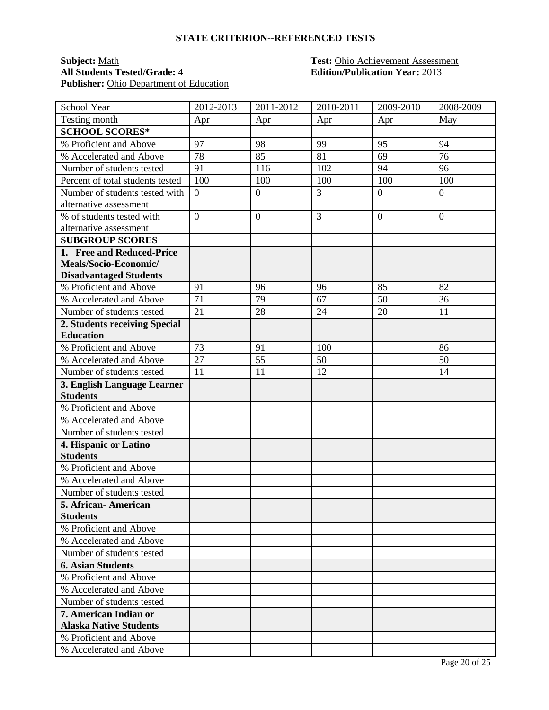#### **STATE CRITERION--REFERENCED TESTS**

# **Subject:** <u>Math **Test:** Ohio Achievement Assessment</u><br> **All Students Tested/Grade:** <u>4</u> **Test: Chio Achievement Assessment**<br> **Edition/Publication Year:** 2013 Publisher: Ohio Department of Education

# **All Students Tested/Grade:** 4 **Edition/Publication Year:** 2013

| School Year                      | 2012-2013        | $2011 - 2012$    | 2010-2011      | 2009-2010      | 2008-2009      |
|----------------------------------|------------------|------------------|----------------|----------------|----------------|
| Testing month                    | Apr              | Apr              | Apr            | Apr            | May            |
| <b>SCHOOL SCORES*</b>            |                  |                  |                |                |                |
| % Proficient and Above           | 97               | 98               | 99             | 95             | 94             |
| % Accelerated and Above          | 78               | 85               | 81             | 69             | 76             |
| Number of students tested        | 91               | 116              | 102            | 94             | 96             |
| Percent of total students tested | 100              | 100              | 100            | 100            | 100            |
| Number of students tested with   | $\boldsymbol{0}$ | $\boldsymbol{0}$ | 3              | $\overline{0}$ | $\overline{0}$ |
| alternative assessment           |                  |                  |                |                |                |
| % of students tested with        | $\overline{0}$   | $\overline{0}$   | $\overline{3}$ | $\overline{0}$ | $\theta$       |
| alternative assessment           |                  |                  |                |                |                |
| <b>SUBGROUP SCORES</b>           |                  |                  |                |                |                |
| 1. Free and Reduced-Price        |                  |                  |                |                |                |
| Meals/Socio-Economic/            |                  |                  |                |                |                |
| <b>Disadvantaged Students</b>    |                  |                  |                |                |                |
| % Proficient and Above           | 91               | 96               | 96             | 85             | 82             |
| % Accelerated and Above          | $\overline{71}$  | 79               | 67             | 50             | 36             |
| Number of students tested        | 21               | 28               | 24             | 20             | 11             |
| 2. Students receiving Special    |                  |                  |                |                |                |
| <b>Education</b>                 |                  |                  |                |                |                |
| % Proficient and Above           | 73               | 91               | 100            |                | 86             |
| % Accelerated and Above          | 27               | 55               | 50             |                | 50             |
| Number of students tested        | 11               | 11               | 12             |                | 14             |
| 3. English Language Learner      |                  |                  |                |                |                |
| <b>Students</b>                  |                  |                  |                |                |                |
| % Proficient and Above           |                  |                  |                |                |                |
| % Accelerated and Above          |                  |                  |                |                |                |
| Number of students tested        |                  |                  |                |                |                |
| 4. Hispanic or Latino            |                  |                  |                |                |                |
| <b>Students</b>                  |                  |                  |                |                |                |
| % Proficient and Above           |                  |                  |                |                |                |
| % Accelerated and Above          |                  |                  |                |                |                |
| Number of students tested        |                  |                  |                |                |                |
| 5. African- American             |                  |                  |                |                |                |
| <b>Students</b>                  |                  |                  |                |                |                |
| % Proficient and Above           |                  |                  |                |                |                |
| % Accelerated and Above          |                  |                  |                |                |                |
| Number of students tested        |                  |                  |                |                |                |
| <b>6. Asian Students</b>         |                  |                  |                |                |                |
| % Proficient and Above           |                  |                  |                |                |                |
| % Accelerated and Above          |                  |                  |                |                |                |
| Number of students tested        |                  |                  |                |                |                |
| 7. American Indian or            |                  |                  |                |                |                |
| <b>Alaska Native Students</b>    |                  |                  |                |                |                |
| % Proficient and Above           |                  |                  |                |                |                |
| % Accelerated and Above          |                  |                  |                |                |                |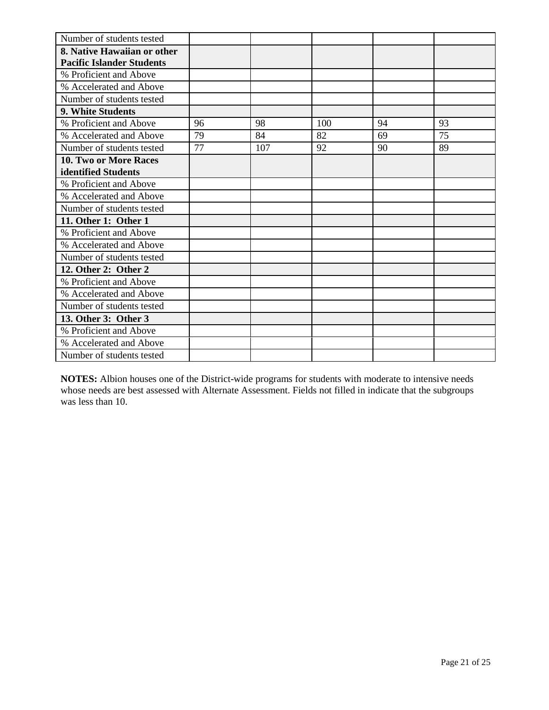| Number of students tested        |    |     |     |    |    |
|----------------------------------|----|-----|-----|----|----|
| 8. Native Hawaiian or other      |    |     |     |    |    |
| <b>Pacific Islander Students</b> |    |     |     |    |    |
| % Proficient and Above           |    |     |     |    |    |
| % Accelerated and Above          |    |     |     |    |    |
| Number of students tested        |    |     |     |    |    |
| 9. White Students                |    |     |     |    |    |
| % Proficient and Above           | 96 | 98  | 100 | 94 | 93 |
| % Accelerated and Above          | 79 | 84  | 82  | 69 | 75 |
| Number of students tested        | 77 | 107 | 92  | 90 | 89 |
| 10. Two or More Races            |    |     |     |    |    |
| identified Students              |    |     |     |    |    |
| % Proficient and Above           |    |     |     |    |    |
| % Accelerated and Above          |    |     |     |    |    |
| Number of students tested        |    |     |     |    |    |
| 11. Other 1: Other 1             |    |     |     |    |    |
| % Proficient and Above           |    |     |     |    |    |
| % Accelerated and Above          |    |     |     |    |    |
| Number of students tested        |    |     |     |    |    |
| 12. Other 2: Other 2             |    |     |     |    |    |
| % Proficient and Above           |    |     |     |    |    |
| % Accelerated and Above          |    |     |     |    |    |
| Number of students tested        |    |     |     |    |    |
| 13. Other 3: Other 3             |    |     |     |    |    |
| % Proficient and Above           |    |     |     |    |    |
| % Accelerated and Above          |    |     |     |    |    |
| Number of students tested        |    |     |     |    |    |

**NOTES:** Albion houses one of the District-wide programs for students with moderate to intensive needs whose needs are best assessed with Alternate Assessment. Fields not filled in indicate that the subgroups was less than 10.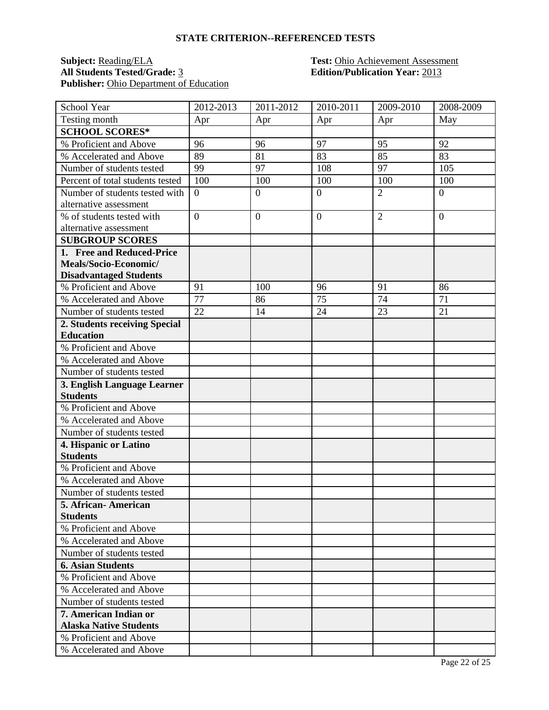#### **STATE CRITERION--REFERENCED TESTS**

# **Subject:** <u>Reading/ELA</u> **Test:** Ohio Achievement Assessment<br> **All Students Tested/Grade:** 3 **Edition/Publication Year:** 2013 Publisher: Ohio Department of Education

# **All Students Tested/Grade:** 3 **Edition/Publication Year:** 2013

| School Year                      | 2012-2013        | 2011-2012        | 2010-2011        | 2009-2010       | 2008-2009      |
|----------------------------------|------------------|------------------|------------------|-----------------|----------------|
| Testing month                    | Apr              | Apr              | Apr              | Apr             | May            |
| <b>SCHOOL SCORES*</b>            |                  |                  |                  |                 |                |
| % Proficient and Above           | 96               | 96               | 97               | 95              | 92             |
| % Accelerated and Above          | 89               | 81               | 83               | 85              | 83             |
| Number of students tested        | 99               | 97               | 108              | 97              | 105            |
| Percent of total students tested | 100              | 100              | 100              | 100             | 100            |
| Number of students tested with   | $\boldsymbol{0}$ | $\boldsymbol{0}$ | $\boldsymbol{0}$ | $\overline{2}$  | $\overline{0}$ |
| alternative assessment           |                  |                  |                  |                 |                |
| % of students tested with        | $\overline{0}$   | $\overline{0}$   | $\overline{0}$   | $\overline{2}$  | $\theta$       |
| alternative assessment           |                  |                  |                  |                 |                |
| <b>SUBGROUP SCORES</b>           |                  |                  |                  |                 |                |
| 1. Free and Reduced-Price        |                  |                  |                  |                 |                |
| Meals/Socio-Economic/            |                  |                  |                  |                 |                |
| <b>Disadvantaged Students</b>    |                  |                  |                  |                 |                |
| % Proficient and Above           | 91               | 100              | 96               | 91              | 86             |
| % Accelerated and Above          | $\overline{77}$  | 86               | 75               | $\overline{74}$ | 71             |
| Number of students tested        | 22               | 14               | 24               | 23              | 21             |
| 2. Students receiving Special    |                  |                  |                  |                 |                |
| <b>Education</b>                 |                  |                  |                  |                 |                |
| % Proficient and Above           |                  |                  |                  |                 |                |
| % Accelerated and Above          |                  |                  |                  |                 |                |
| Number of students tested        |                  |                  |                  |                 |                |
| 3. English Language Learner      |                  |                  |                  |                 |                |
| <b>Students</b>                  |                  |                  |                  |                 |                |
| % Proficient and Above           |                  |                  |                  |                 |                |
| % Accelerated and Above          |                  |                  |                  |                 |                |
| Number of students tested        |                  |                  |                  |                 |                |
| 4. Hispanic or Latino            |                  |                  |                  |                 |                |
| <b>Students</b>                  |                  |                  |                  |                 |                |
| % Proficient and Above           |                  |                  |                  |                 |                |
| % Accelerated and Above          |                  |                  |                  |                 |                |
| Number of students tested        |                  |                  |                  |                 |                |
| 5. African- American             |                  |                  |                  |                 |                |
| <b>Students</b>                  |                  |                  |                  |                 |                |
| % Proficient and Above           |                  |                  |                  |                 |                |
| % Accelerated and Above          |                  |                  |                  |                 |                |
| Number of students tested        |                  |                  |                  |                 |                |
| <b>6. Asian Students</b>         |                  |                  |                  |                 |                |
| % Proficient and Above           |                  |                  |                  |                 |                |
| % Accelerated and Above          |                  |                  |                  |                 |                |
| Number of students tested        |                  |                  |                  |                 |                |
| 7. American Indian or            |                  |                  |                  |                 |                |
| <b>Alaska Native Students</b>    |                  |                  |                  |                 |                |
| % Proficient and Above           |                  |                  |                  |                 |                |
| % Accelerated and Above          |                  |                  |                  |                 |                |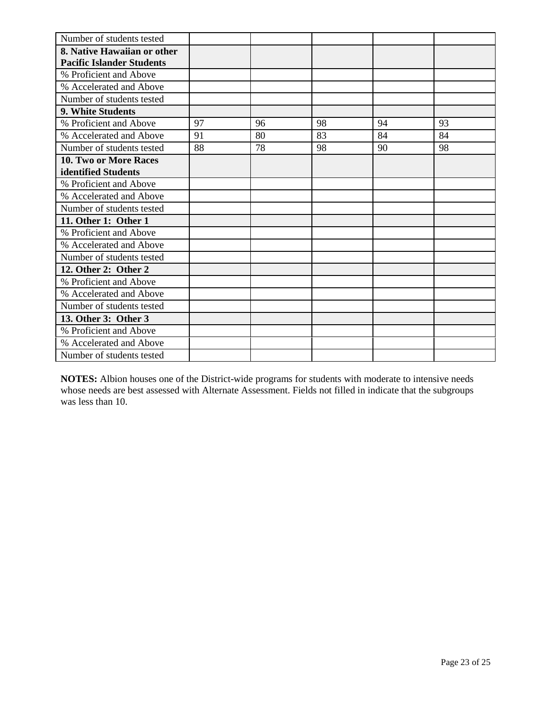| Number of students tested        |    |    |    |    |    |
|----------------------------------|----|----|----|----|----|
| 8. Native Hawaiian or other      |    |    |    |    |    |
| <b>Pacific Islander Students</b> |    |    |    |    |    |
| % Proficient and Above           |    |    |    |    |    |
| % Accelerated and Above          |    |    |    |    |    |
| Number of students tested        |    |    |    |    |    |
| 9. White Students                |    |    |    |    |    |
| % Proficient and Above           | 97 | 96 | 98 | 94 | 93 |
| % Accelerated and Above          | 91 | 80 | 83 | 84 | 84 |
| Number of students tested        | 88 | 78 | 98 | 90 | 98 |
| 10. Two or More Races            |    |    |    |    |    |
| identified Students              |    |    |    |    |    |
| % Proficient and Above           |    |    |    |    |    |
| % Accelerated and Above          |    |    |    |    |    |
| Number of students tested        |    |    |    |    |    |
| 11. Other 1: Other 1             |    |    |    |    |    |
| % Proficient and Above           |    |    |    |    |    |
| % Accelerated and Above          |    |    |    |    |    |
| Number of students tested        |    |    |    |    |    |
| 12. Other 2: Other 2             |    |    |    |    |    |
| % Proficient and Above           |    |    |    |    |    |
| % Accelerated and Above          |    |    |    |    |    |
| Number of students tested        |    |    |    |    |    |
| 13. Other 3: Other 3             |    |    |    |    |    |
| % Proficient and Above           |    |    |    |    |    |
| % Accelerated and Above          |    |    |    |    |    |
| Number of students tested        |    |    |    |    |    |

**NOTES:** Albion houses one of the District-wide programs for students with moderate to intensive needs whose needs are best assessed with Alternate Assessment. Fields not filled in indicate that the subgroups was less than 10.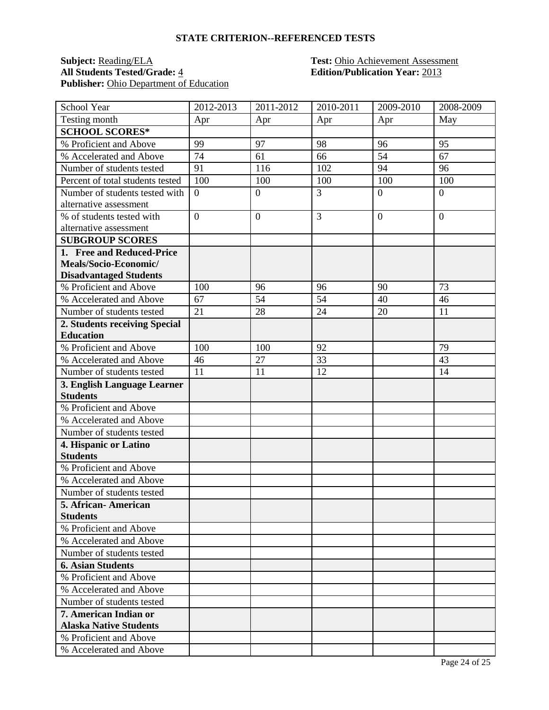#### **STATE CRITERION--REFERENCED TESTS**

# **Subject:** <u>Reading/ELA</u> **Test:** Ohio Achievement Assessment<br> **All Students Tested/Grade:** 4 **Edition/Publication Year:** 2013 Publisher: Ohio Department of Education

# **All Students Tested/Grade:** 4 **Edition/Publication Year:** 2013

| School Year                      | 2012-2013      | 2011-2012        | 2010-2011      | 2009-2010      | 2008-2009 |
|----------------------------------|----------------|------------------|----------------|----------------|-----------|
| Testing month                    | Apr            | Apr              | Apr            | Apr            | May       |
| <b>SCHOOL SCORES*</b>            |                |                  |                |                |           |
| % Proficient and Above           | 99             | 97               | 98             | 96             | 95        |
| % Accelerated and Above          | 74             | 61               | 66             | 54             | 67        |
| Number of students tested        | 91             | 116              | 102            | 94             | 96        |
| Percent of total students tested | 100            | 100              | 100            | 100            | 100       |
| Number of students tested with   | $\overline{0}$ | $\boldsymbol{0}$ | $\overline{3}$ | $\overline{0}$ | $\theta$  |
| alternative assessment           |                |                  |                |                |           |
| % of students tested with        | $\overline{0}$ | $\overline{0}$   | 3              | $\overline{0}$ | $\theta$  |
| alternative assessment           |                |                  |                |                |           |
| <b>SUBGROUP SCORES</b>           |                |                  |                |                |           |
| 1. Free and Reduced-Price        |                |                  |                |                |           |
| Meals/Socio-Economic/            |                |                  |                |                |           |
| <b>Disadvantaged Students</b>    |                |                  |                |                |           |
| % Proficient and Above           | 100            | 96               | 96             | 90             | 73        |
| % Accelerated and Above          | 67             | 54               | 54             | 40             | 46        |
| Number of students tested        | 21             | 28               | 24             | 20             | 11        |
| 2. Students receiving Special    |                |                  |                |                |           |
| <b>Education</b>                 |                |                  |                |                |           |
| % Proficient and Above           | 100            | 100              | 92             |                | 79        |
| % Accelerated and Above          | 46             | 27               | 33             |                | 43        |
| Number of students tested        | 11             | 11               | 12             |                | 14        |
| 3. English Language Learner      |                |                  |                |                |           |
| <b>Students</b>                  |                |                  |                |                |           |
| % Proficient and Above           |                |                  |                |                |           |
| % Accelerated and Above          |                |                  |                |                |           |
| Number of students tested        |                |                  |                |                |           |
| 4. Hispanic or Latino            |                |                  |                |                |           |
| <b>Students</b>                  |                |                  |                |                |           |
| % Proficient and Above           |                |                  |                |                |           |
| % Accelerated and Above          |                |                  |                |                |           |
| Number of students tested        |                |                  |                |                |           |
| 5. African-American              |                |                  |                |                |           |
| <b>Students</b>                  |                |                  |                |                |           |
| % Proficient and Above           |                |                  |                |                |           |
| % Accelerated and Above          |                |                  |                |                |           |
| Number of students tested        |                |                  |                |                |           |
| <b>6. Asian Students</b>         |                |                  |                |                |           |
| % Proficient and Above           |                |                  |                |                |           |
| % Accelerated and Above          |                |                  |                |                |           |
| Number of students tested        |                |                  |                |                |           |
| 7. American Indian or            |                |                  |                |                |           |
| <b>Alaska Native Students</b>    |                |                  |                |                |           |
| % Proficient and Above           |                |                  |                |                |           |
| % Accelerated and Above          |                |                  |                |                |           |